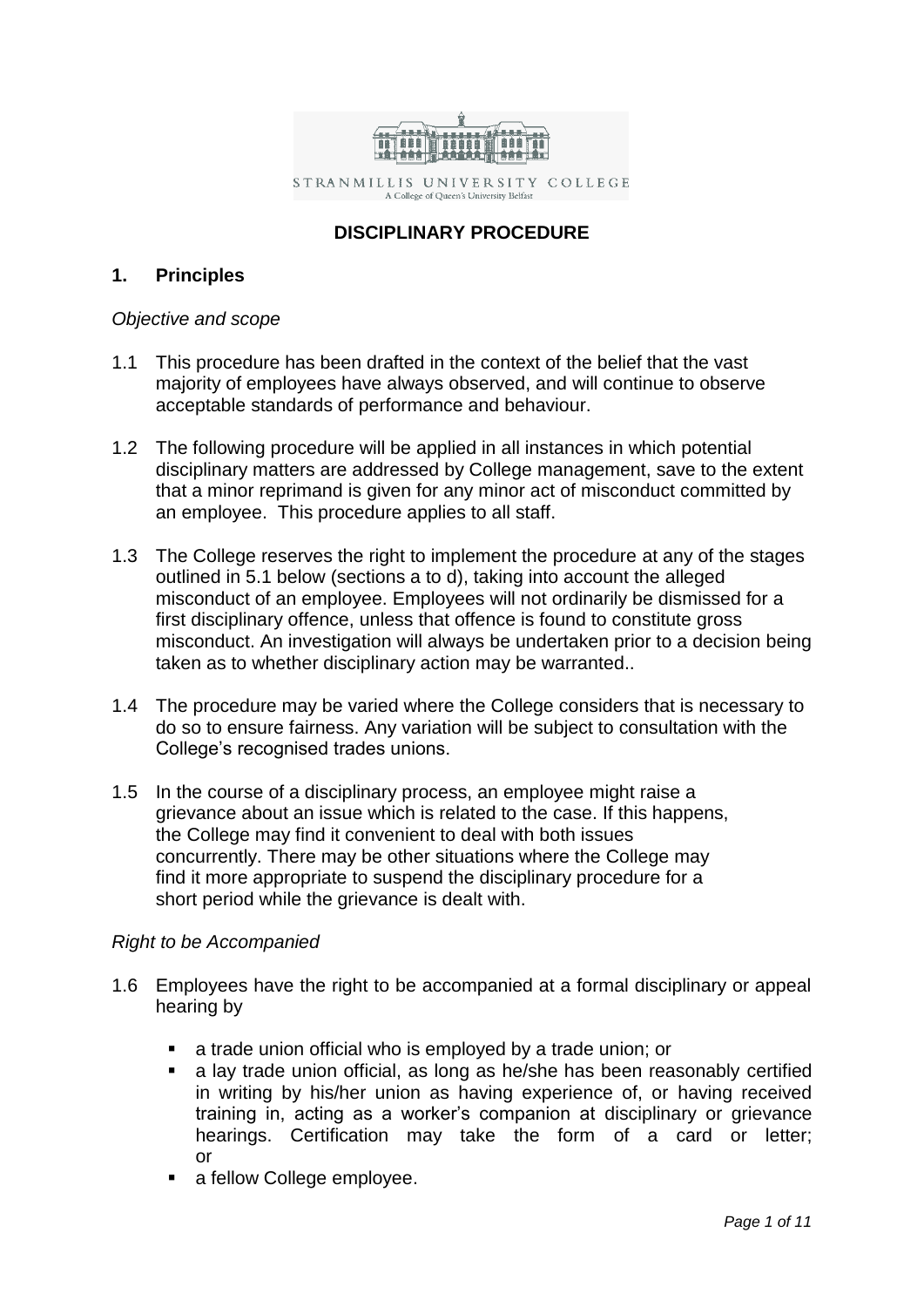

STRANMILLIS UNIVERSITY COLLEGE A College of Queen's University Belfast

# **DISCIPLINARY PROCEDURE**

# **1. Principles**

# *Objective and scope*

- 1.1 This procedure has been drafted in the context of the belief that the vast majority of employees have always observed, and will continue to observe acceptable standards of performance and behaviour.
- 1.2 The following procedure will be applied in all instances in which potential disciplinary matters are addressed by College management, save to the extent that a minor reprimand is given for any minor act of misconduct committed by an employee. This procedure applies to all staff.
- 1.3 The College reserves the right to implement the procedure at any of the stages outlined in 5.1 below (sections a to d), taking into account the alleged misconduct of an employee. Employees will not ordinarily be dismissed for a first disciplinary offence, unless that offence is found to constitute gross misconduct. An investigation will always be undertaken prior to a decision being taken as to whether disciplinary action may be warranted..
- 1.4 The procedure may be varied where the College considers that is necessary to do so to ensure fairness. Any variation will be subject to consultation with the College's recognised trades unions.
- 1.5 In the course of a disciplinary process, an employee might raise a grievance about an issue which is related to the case. If this happens, the College may find it convenient to deal with both issues concurrently. There may be other situations where the College may find it more appropriate to suspend the disciplinary procedure for a short period while the grievance is dealt with.

# *Right to be Accompanied*

- 1.6 Employees have the right to be accompanied at a formal disciplinary or appeal hearing by
	- **a** trade union official who is employed by a trade union; or
	- a lay trade union official, as long as he/she has been reasonably certified in writing by his/her union as having experience of, or having received training in, acting as a worker's companion at disciplinary or grievance hearings. Certification may take the form of a card or letter; or
	- a fellow College employee.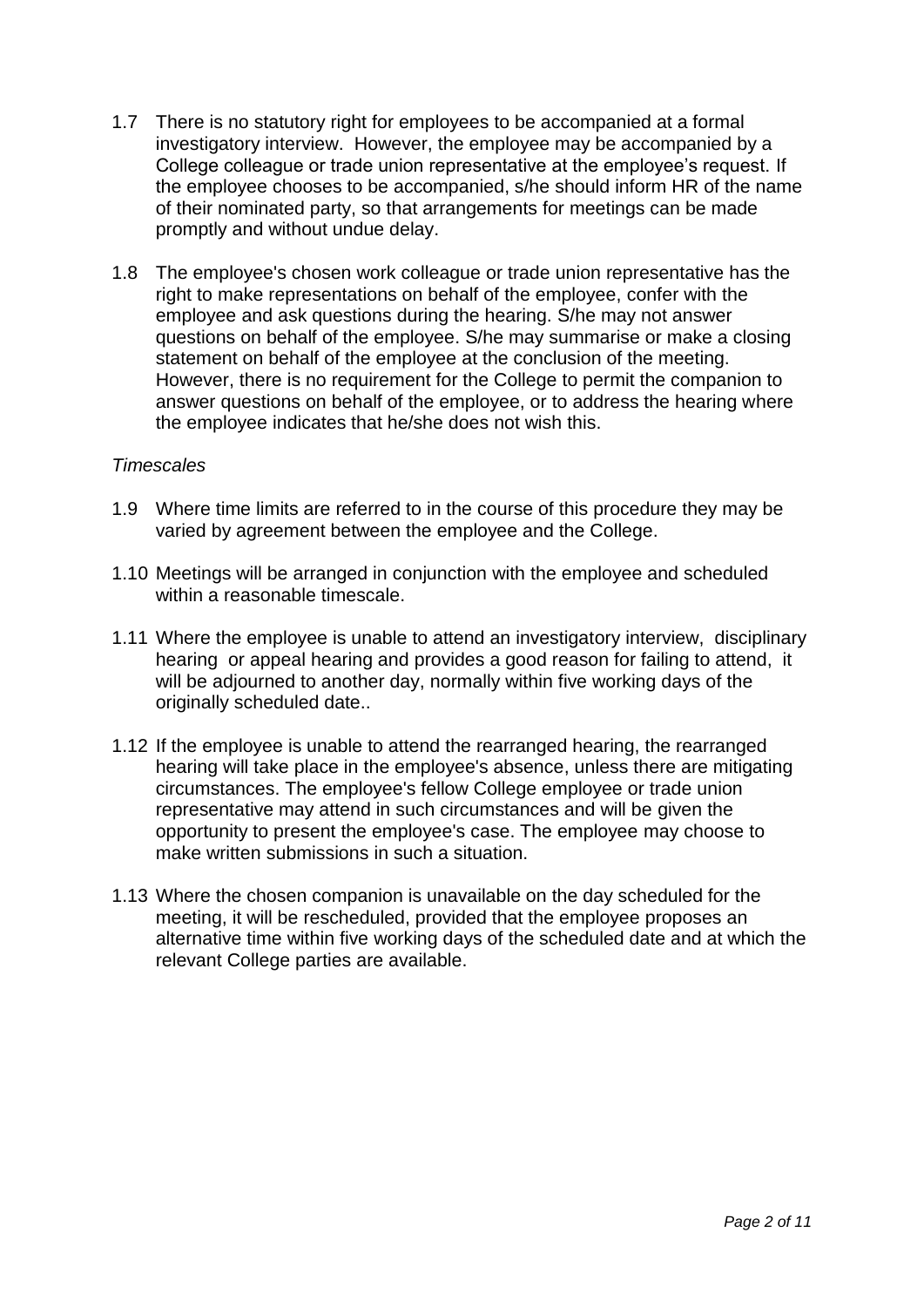- 1.7 There is no statutory right for employees to be accompanied at a formal investigatory interview. However, the employee may be accompanied by a College colleague or trade union representative at the employee's request. If the employee chooses to be accompanied, s/he should inform HR of the name of their nominated party, so that arrangements for meetings can be made promptly and without undue delay.
- 1.8 The employee's chosen work colleague or trade union representative has the right to make representations on behalf of the employee, confer with the employee and ask questions during the hearing. S/he may not answer questions on behalf of the employee. S/he may summarise or make a closing statement on behalf of the employee at the conclusion of the meeting. However, there is no requirement for the College to permit the companion to answer questions on behalf of the employee, or to address the hearing where the employee indicates that he/she does not wish this.

#### *Timescales*

- 1.9 Where time limits are referred to in the course of this procedure they may be varied by agreement between the employee and the College.
- 1.10 Meetings will be arranged in conjunction with the employee and scheduled within a reasonable timescale.
- 1.11 Where the employee is unable to attend an investigatory interview, disciplinary hearing or appeal hearing and provides a good reason for failing to attend, it will be adjourned to another day, normally within five working days of the originally scheduled date..
- 1.12 If the employee is unable to attend the rearranged hearing, the rearranged hearing will take place in the employee's absence, unless there are mitigating circumstances. The employee's fellow College employee or trade union representative may attend in such circumstances and will be given the opportunity to present the employee's case. The employee may choose to make written submissions in such a situation.
- 1.13 Where the chosen companion is unavailable on the day scheduled for the meeting, it will be rescheduled, provided that the employee proposes an alternative time within five working days of the scheduled date and at which the relevant College parties are available.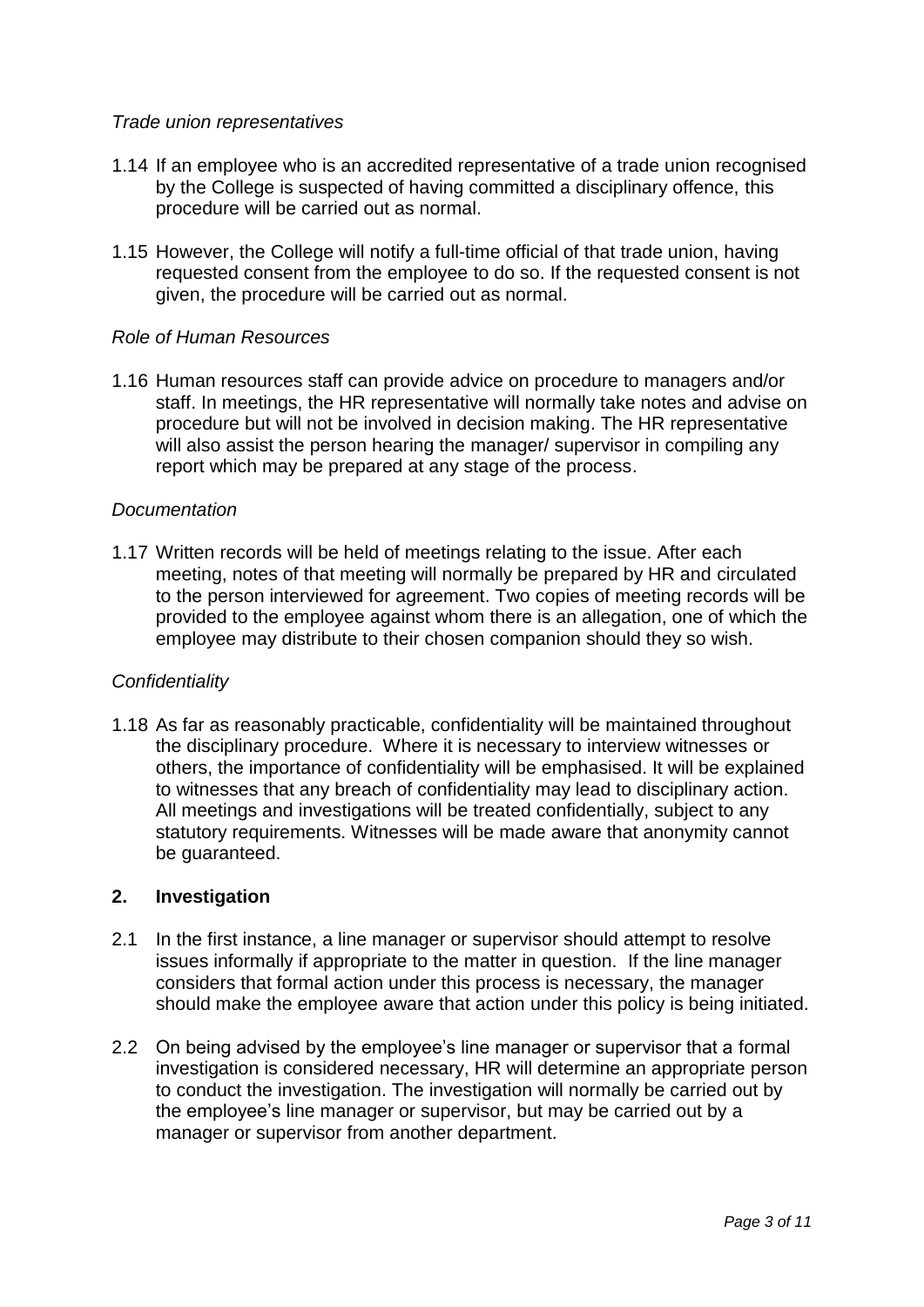## *Trade union representatives*

- 1.14 If an employee who is an accredited representative of a trade union recognised by the College is suspected of having committed a disciplinary offence, this procedure will be carried out as normal.
- 1.15 However, the College will notify a full-time official of that trade union, having requested consent from the employee to do so. If the requested consent is not given, the procedure will be carried out as normal.

### *Role of Human Resources*

1.16 Human resources staff can provide advice on procedure to managers and/or staff. In meetings, the HR representative will normally take notes and advise on procedure but will not be involved in decision making. The HR representative will also assist the person hearing the manager/ supervisor in compiling any report which may be prepared at any stage of the process.

### *Documentation*

1.17 Written records will be held of meetings relating to the issue. After each meeting, notes of that meeting will normally be prepared by HR and circulated to the person interviewed for agreement. Two copies of meeting records will be provided to the employee against whom there is an allegation, one of which the employee may distribute to their chosen companion should they so wish.

#### *Confidentiality*

1.18 As far as reasonably practicable, confidentiality will be maintained throughout the disciplinary procedure. Where it is necessary to interview witnesses or others, the importance of confidentiality will be emphasised. It will be explained to witnesses that any breach of confidentiality may lead to disciplinary action. All meetings and investigations will be treated confidentially, subject to any statutory requirements. Witnesses will be made aware that anonymity cannot be guaranteed.

## **2. Investigation**

- 2.1 In the first instance, a line manager or supervisor should attempt to resolve issues informally if appropriate to the matter in question. If the line manager considers that formal action under this process is necessary, the manager should make the employee aware that action under this policy is being initiated.
- 2.2 On being advised by the employee's line manager or supervisor that a formal investigation is considered necessary, HR will determine an appropriate person to conduct the investigation. The investigation will normally be carried out by the employee's line manager or supervisor, but may be carried out by a manager or supervisor from another department.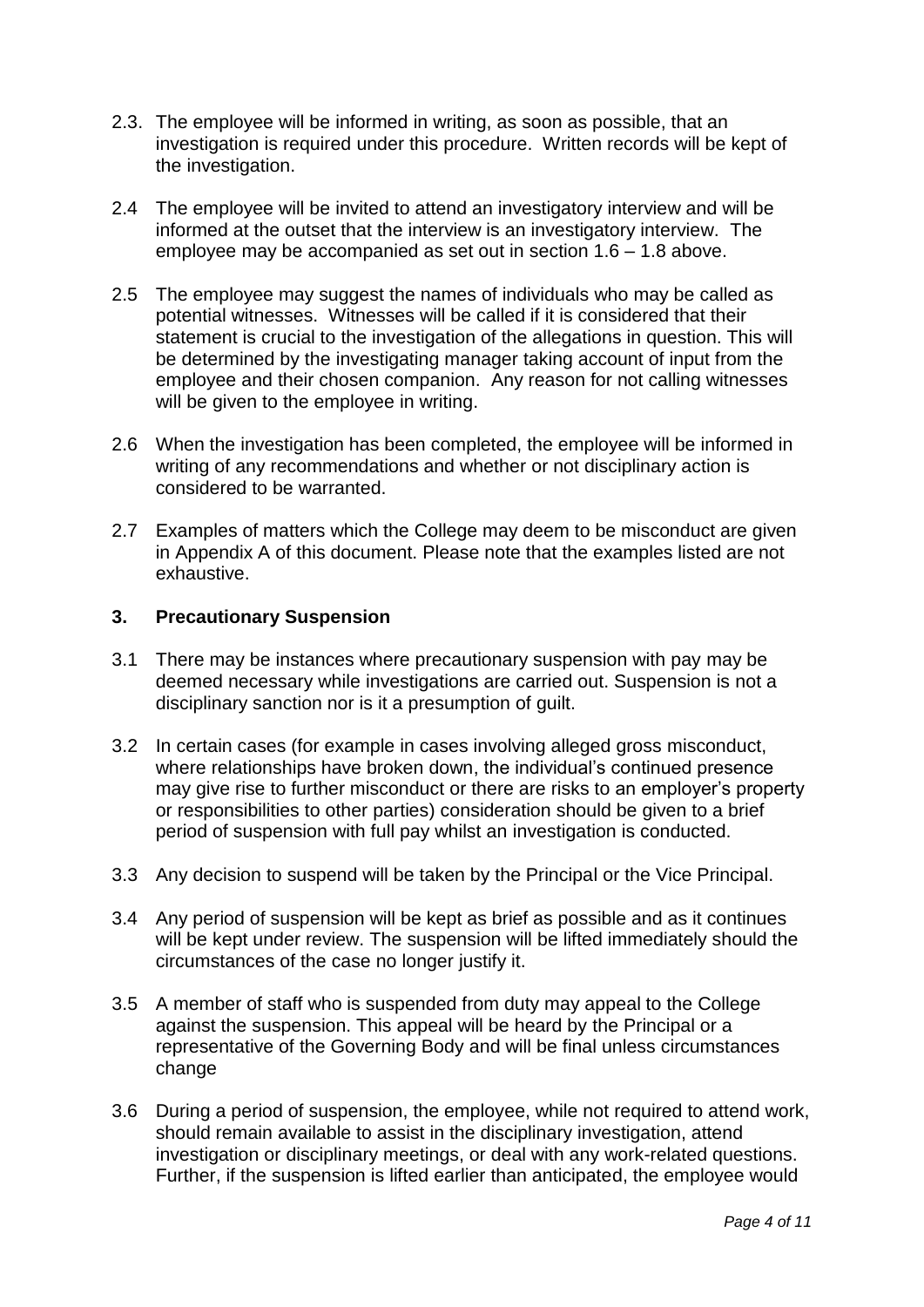- 2.3. The employee will be informed in writing, as soon as possible, that an investigation is required under this procedure. Written records will be kept of the investigation.
- 2.4 The employee will be invited to attend an investigatory interview and will be informed at the outset that the interview is an investigatory interview. The employee may be accompanied as set out in section 1.6 – 1.8 above.
- 2.5 The employee may suggest the names of individuals who may be called as potential witnesses. Witnesses will be called if it is considered that their statement is crucial to the investigation of the allegations in question. This will be determined by the investigating manager taking account of input from the employee and their chosen companion. Any reason for not calling witnesses will be given to the employee in writing.
- 2.6 When the investigation has been completed, the employee will be informed in writing of any recommendations and whether or not disciplinary action is considered to be warranted.
- 2.7 Examples of matters which the College may deem to be misconduct are given in Appendix A of this document. Please note that the examples listed are not exhaustive.

# **3. Precautionary Suspension**

- 3.1 There may be instances where precautionary suspension with pay may be deemed necessary while investigations are carried out. Suspension is not a disciplinary sanction nor is it a presumption of guilt.
- 3.2 In certain cases (for example in cases involving alleged gross misconduct, where relationships have broken down, the individual's continued presence may give rise to further misconduct or there are risks to an employer's property or responsibilities to other parties) consideration should be given to a brief period of suspension with full pay whilst an investigation is conducted.
- 3.3 Any decision to suspend will be taken by the Principal or the Vice Principal.
- 3.4 Any period of suspension will be kept as brief as possible and as it continues will be kept under review. The suspension will be lifted immediately should the circumstances of the case no longer justify it.
- 3.5 A member of staff who is suspended from duty may appeal to the College against the suspension. This appeal will be heard by the Principal or a representative of the Governing Body and will be final unless circumstances change
- 3.6 During a period of suspension, the employee, while not required to attend work, should remain available to assist in the disciplinary investigation, attend investigation or disciplinary meetings, or deal with any work-related questions. Further, if the suspension is lifted earlier than anticipated, the employee would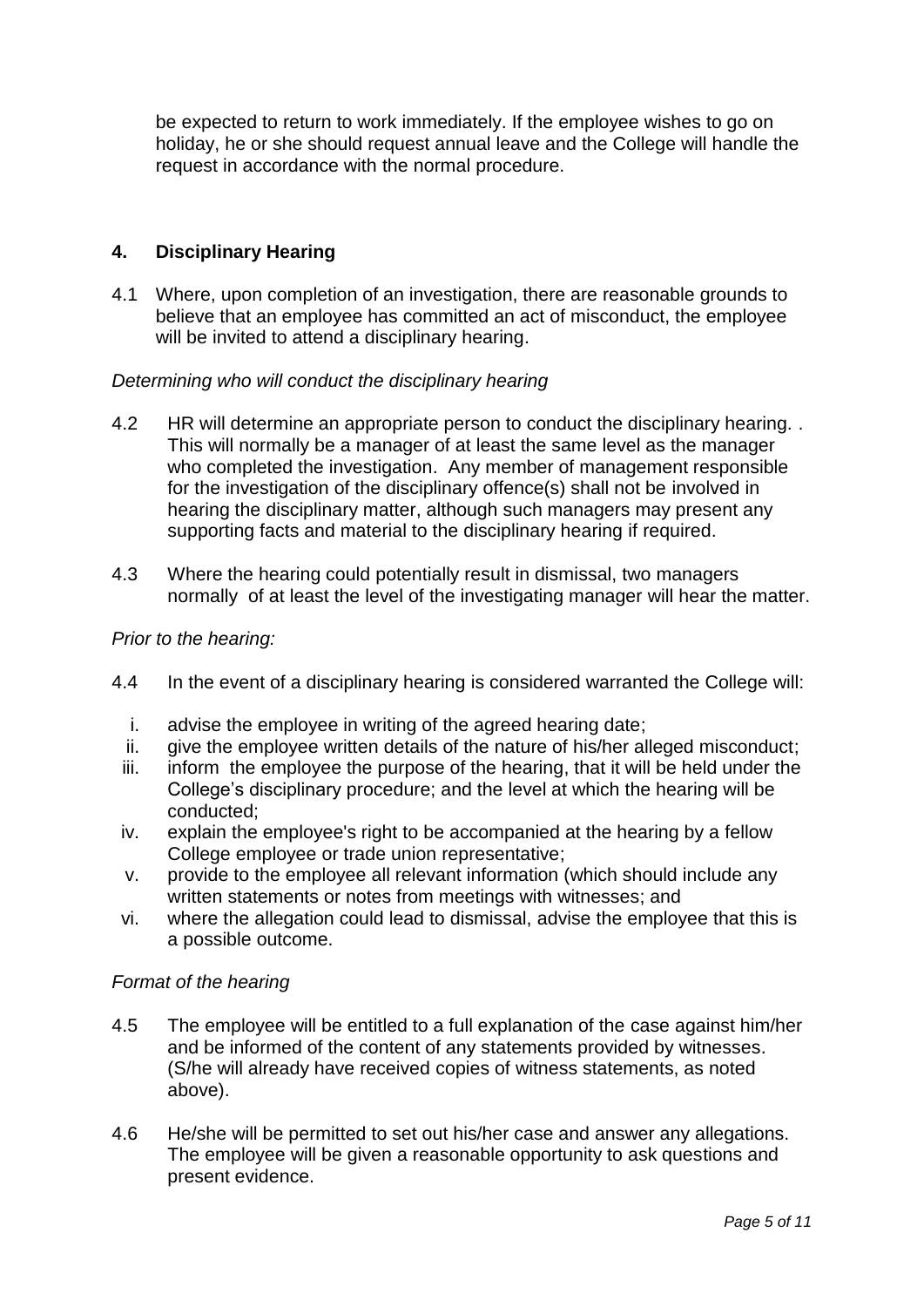be expected to return to work immediately. If the employee wishes to go on holiday, he or she should request annual leave and the College will handle the request in accordance with the normal procedure.

# **4. Disciplinary Hearing**

4.1 Where, upon completion of an investigation, there are reasonable grounds to believe that an employee has committed an act of misconduct, the employee will be invited to attend a disciplinary hearing.

### *Determining who will conduct the disciplinary hearing*

- 4.2 HR will determine an appropriate person to conduct the disciplinary hearing. . This will normally be a manager of at least the same level as the manager who completed the investigation. Any member of management responsible for the investigation of the disciplinary offence(s) shall not be involved in hearing the disciplinary matter, although such managers may present any supporting facts and material to the disciplinary hearing if required.
- 4.3 Where the hearing could potentially result in dismissal, two managers normally of at least the level of the investigating manager will hear the matter.

### *Prior to the hearing:*

- 4.4 In the event of a disciplinary hearing is considered warranted the College will:
	- i. advise the employee in writing of the agreed hearing date;
	- ii. give the employee written details of the nature of his/her alleged misconduct;
	- iii. inform the employee the purpose of the hearing, that it will be held under the College's disciplinary procedure; and the level at which the hearing will be conducted;
	- iv. explain the employee's right to be accompanied at the hearing by a fellow College employee or trade union representative;
	- v. provide to the employee all relevant information (which should include any written statements or notes from meetings with witnesses; and
	- vi. where the allegation could lead to dismissal, advise the employee that this is a possible outcome.

#### *Format of the hearing*

- 4.5 The employee will be entitled to a full explanation of the case against him/her and be informed of the content of any statements provided by witnesses. (S/he will already have received copies of witness statements, as noted above).
- 4.6 He/she will be permitted to set out his/her case and answer any allegations. The employee will be given a reasonable opportunity to ask questions and present evidence.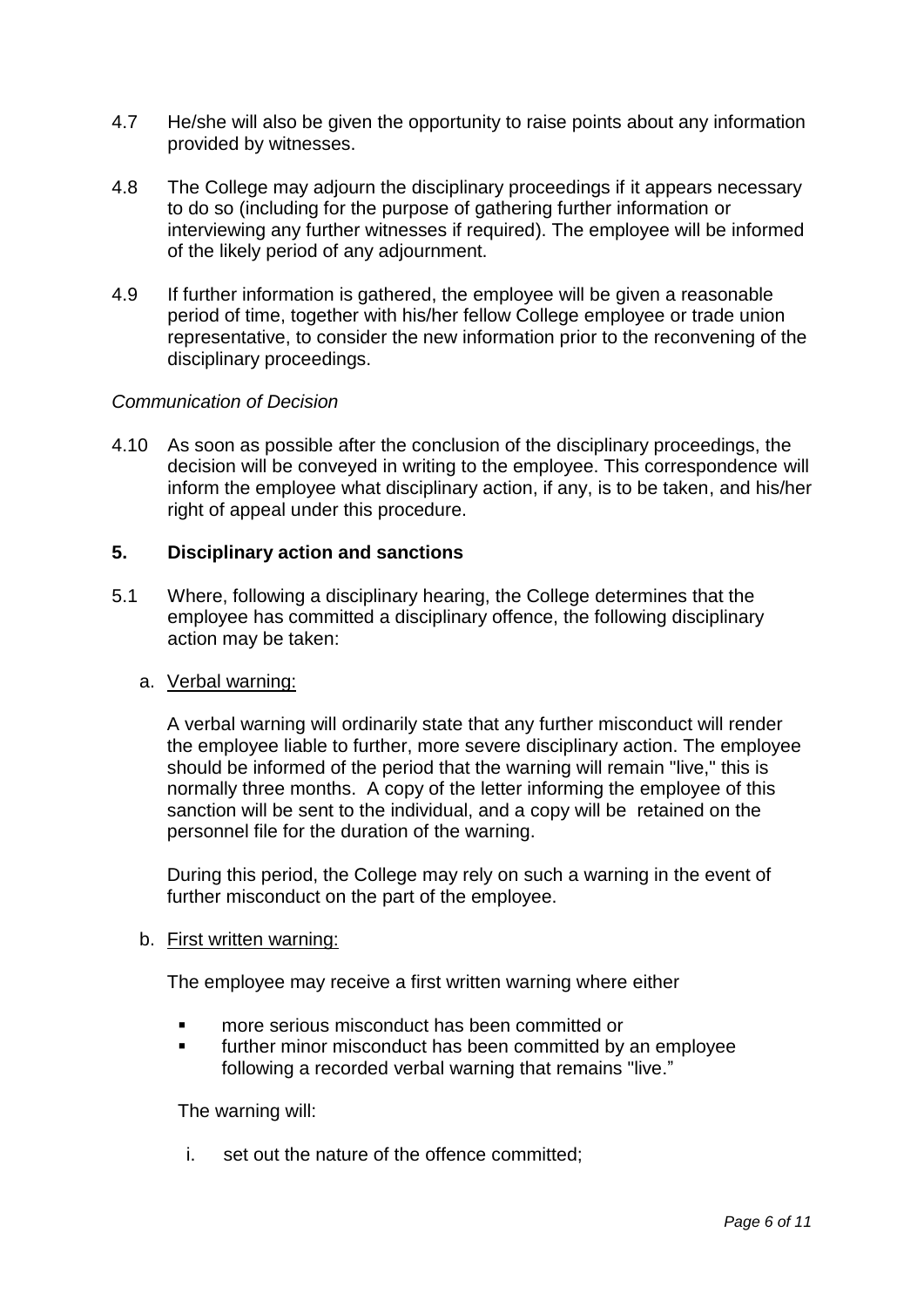- 4.7 He/she will also be given the opportunity to raise points about any information provided by witnesses.
- 4.8 The College may adjourn the disciplinary proceedings if it appears necessary to do so (including for the purpose of gathering further information or interviewing any further witnesses if required). The employee will be informed of the likely period of any adjournment.
- 4.9 If further information is gathered, the employee will be given a reasonable period of time, together with his/her fellow College employee or trade union representative, to consider the new information prior to the reconvening of the disciplinary proceedings.

### *Communication of Decision*

4.10 As soon as possible after the conclusion of the disciplinary proceedings, the decision will be conveyed in writing to the employee. This correspondence will inform the employee what disciplinary action, if any, is to be taken, and his/her right of appeal under this procedure.

## **5. Disciplinary action and sanctions**

5.1 Where, following a disciplinary hearing, the College determines that the employee has committed a disciplinary offence, the following disciplinary action may be taken:

#### a. Verbal warning:

A verbal warning will ordinarily state that any further misconduct will render the employee liable to further, more severe disciplinary action. The employee should be informed of the period that the warning will remain "live," this is normally three months. A copy of the letter informing the employee of this sanction will be sent to the individual, and a copy will be retained on the personnel file for the duration of the warning.

During this period, the College may rely on such a warning in the event of further misconduct on the part of the employee.

#### b. First written warning:

The employee may receive a first written warning where either

- more serious misconduct has been committed or
- further minor misconduct has been committed by an employee following a recorded verbal warning that remains "live."

The warning will:

i. set out the nature of the offence committed;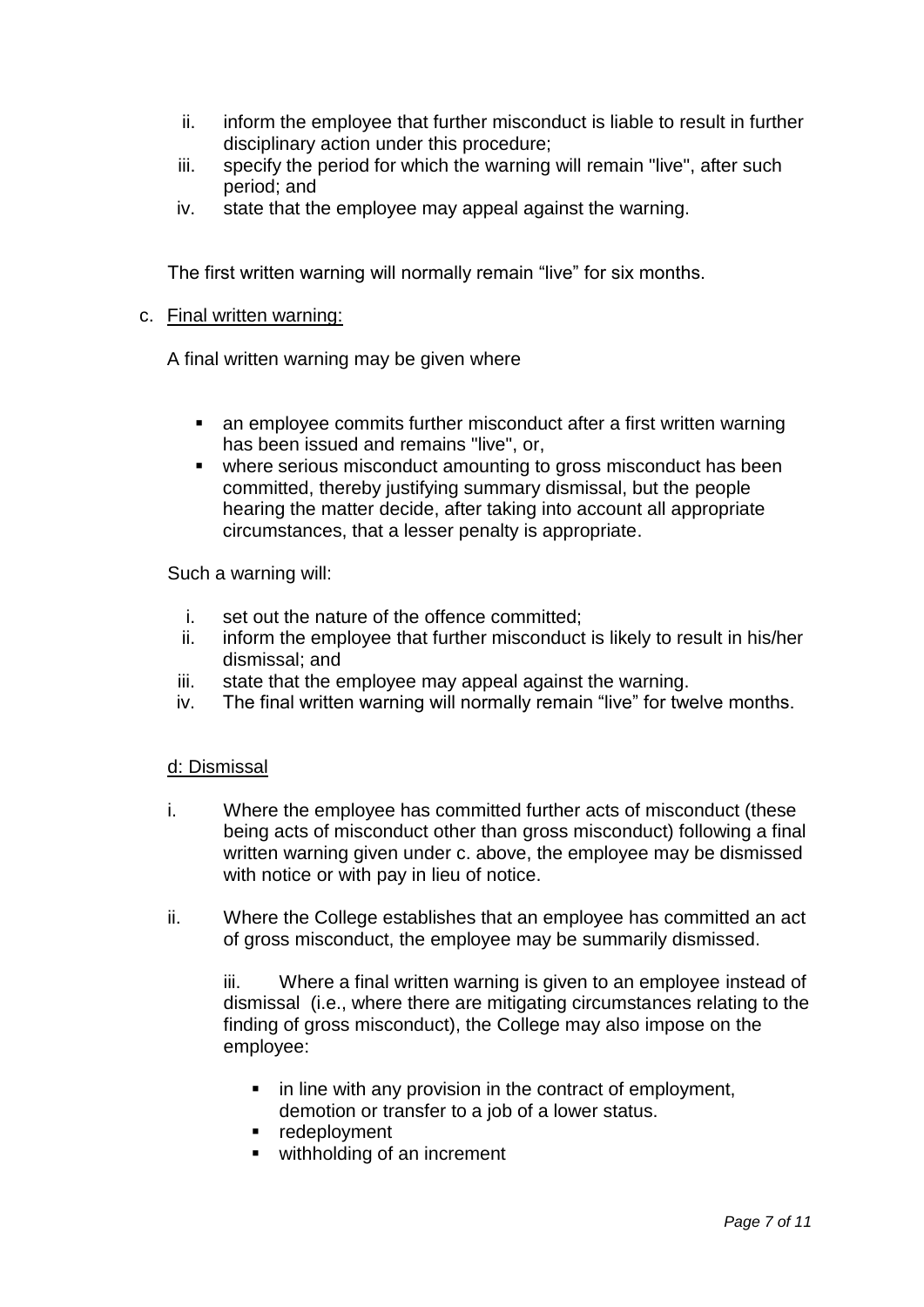- ii. inform the employee that further misconduct is liable to result in further disciplinary action under this procedure;
- iii. specify the period for which the warning will remain "live", after such period; and
- iv. state that the employee may appeal against the warning.

The first written warning will normally remain "live" for six months.

### c. Final written warning:

A final written warning may be given where

- an employee commits further misconduct after a first written warning has been issued and remains "live", or,
- where serious misconduct amounting to gross misconduct has been committed, thereby justifying summary dismissal, but the people hearing the matter decide, after taking into account all appropriate circumstances, that a lesser penalty is appropriate.

Such a warning will:

- i. set out the nature of the offence committed;
- ii. inform the employee that further misconduct is likely to result in his/her dismissal; and
- iii. state that the employee may appeal against the warning.
- iv. The final written warning will normally remain "live" for twelve months.

# d: Dismissal

- i. Where the employee has committed further acts of misconduct (these being acts of misconduct other than gross misconduct) following a final written warning given under c. above, the employee may be dismissed with notice or with pay in lieu of notice.
- ii. Where the College establishes that an employee has committed an act of gross misconduct, the employee may be summarily dismissed.

iii. Where a final written warning is given to an employee instead of dismissal (i.e., where there are mitigating circumstances relating to the finding of gross misconduct), the College may also impose on the employee:

- in line with any provision in the contract of employment, demotion or transfer to a job of a lower status.
- **redeployment**
- withholding of an increment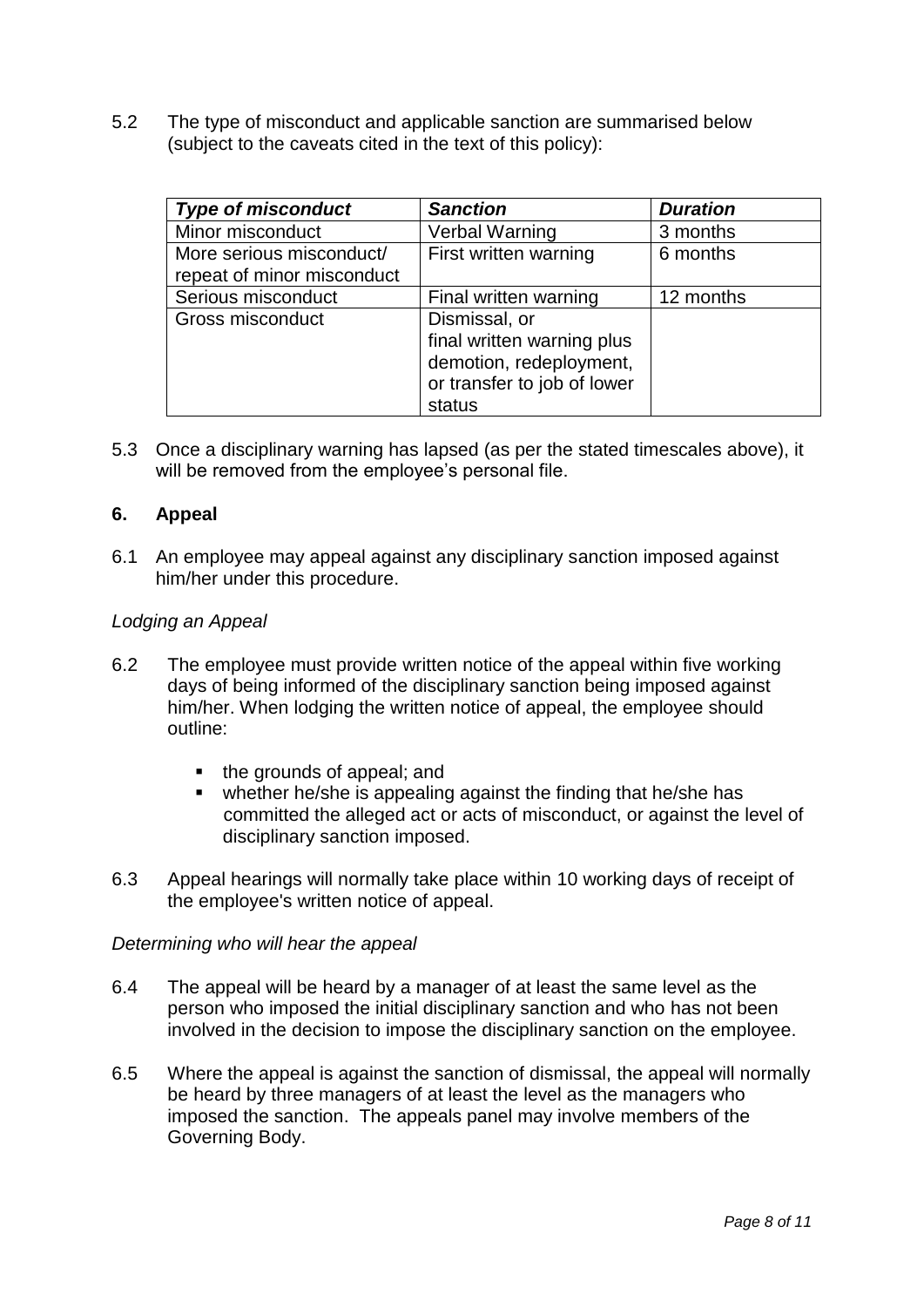5.2 The type of misconduct and applicable sanction are summarised below (subject to the caveats cited in the text of this policy):

| <b>Type of misconduct</b>  | <b>Sanction</b>             | <b>Duration</b> |
|----------------------------|-----------------------------|-----------------|
| Minor misconduct           | <b>Verbal Warning</b>       | 3 months        |
| More serious misconduct/   | First written warning       | 6 months        |
| repeat of minor misconduct |                             |                 |
| Serious misconduct         | Final written warning       | 12 months       |
| Gross misconduct           | Dismissal, or               |                 |
|                            | final written warning plus  |                 |
|                            | demotion, redeployment,     |                 |
|                            | or transfer to job of lower |                 |
|                            | status                      |                 |

5.3 Once a disciplinary warning has lapsed (as per the stated timescales above), it will be removed from the employee's personal file.

### **6. Appeal**

6.1 An employee may appeal against any disciplinary sanction imposed against him/her under this procedure.

#### *Lodging an Appeal*

- 6.2 The employee must provide written notice of the appeal within five working days of being informed of the disciplinary sanction being imposed against him/her. When lodging the written notice of appeal, the employee should outline:
	- the grounds of appeal; and
	- whether he/she is appealing against the finding that he/she has committed the alleged act or acts of misconduct, or against the level of disciplinary sanction imposed.
- 6.3 Appeal hearings will normally take place within 10 working days of receipt of the employee's written notice of appeal.

#### *Determining who will hear the appeal*

- 6.4 The appeal will be heard by a manager of at least the same level as the person who imposed the initial disciplinary sanction and who has not been involved in the decision to impose the disciplinary sanction on the employee.
- 6.5 Where the appeal is against the sanction of dismissal, the appeal will normally be heard by three managers of at least the level as the managers who imposed the sanction. The appeals panel may involve members of the Governing Body.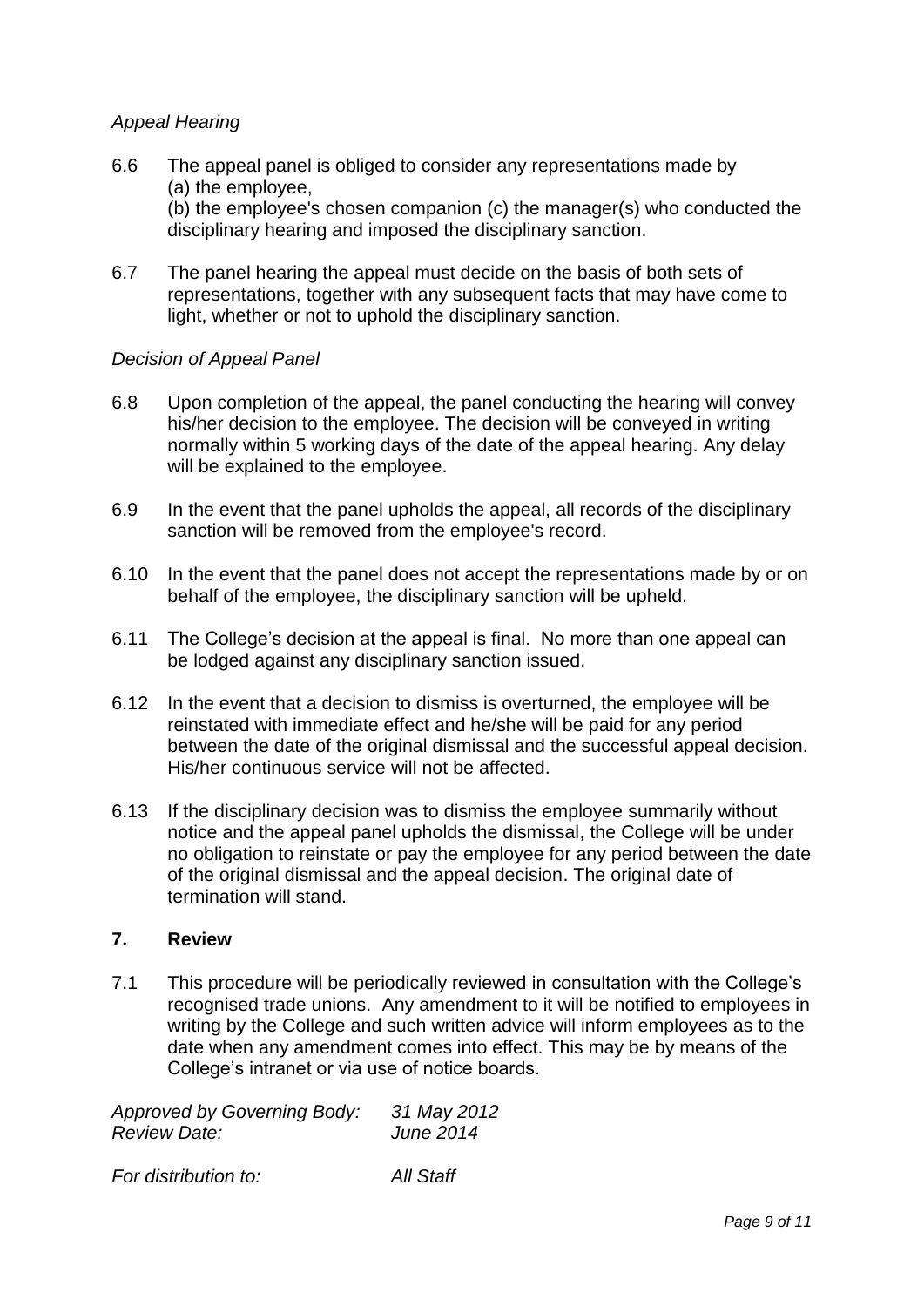# *Appeal Hearing*

- 6.6 The appeal panel is obliged to consider any representations made by (a) the employee, (b) the employee's chosen companion (c) the manager(s) who conducted the disciplinary hearing and imposed the disciplinary sanction.
- 6.7 The panel hearing the appeal must decide on the basis of both sets of representations, together with any subsequent facts that may have come to light, whether or not to uphold the disciplinary sanction.

# *Decision of Appeal Panel*

- 6.8 Upon completion of the appeal, the panel conducting the hearing will convey his/her decision to the employee. The decision will be conveyed in writing normally within 5 working days of the date of the appeal hearing. Any delay will be explained to the employee.
- 6.9 In the event that the panel upholds the appeal, all records of the disciplinary sanction will be removed from the employee's record.
- 6.10 In the event that the panel does not accept the representations made by or on behalf of the employee, the disciplinary sanction will be upheld.
- 6.11 The College's decision at the appeal is final. No more than one appeal can be lodged against any disciplinary sanction issued.
- 6.12 In the event that a decision to dismiss is overturned, the employee will be reinstated with immediate effect and he/she will be paid for any period between the date of the original dismissal and the successful appeal decision. His/her continuous service will not be affected.
- 6.13 If the disciplinary decision was to dismiss the employee summarily without notice and the appeal panel upholds the dismissal, the College will be under no obligation to reinstate or pay the employee for any period between the date of the original dismissal and the appeal decision. The original date of termination will stand.

#### **7. Review**

7.1 This procedure will be periodically reviewed in consultation with the College's recognised trade unions. Any amendment to it will be notified to employees in writing by the College and such written advice will inform employees as to the date when any amendment comes into effect. This may be by means of the College's intranet or via use of notice boards.

| <b>Approved by Governing Body:</b> | 31 May 2012      |
|------------------------------------|------------------|
| Review Date:                       | <b>June 2014</b> |
|                                    |                  |

*For distribution to: All Staff*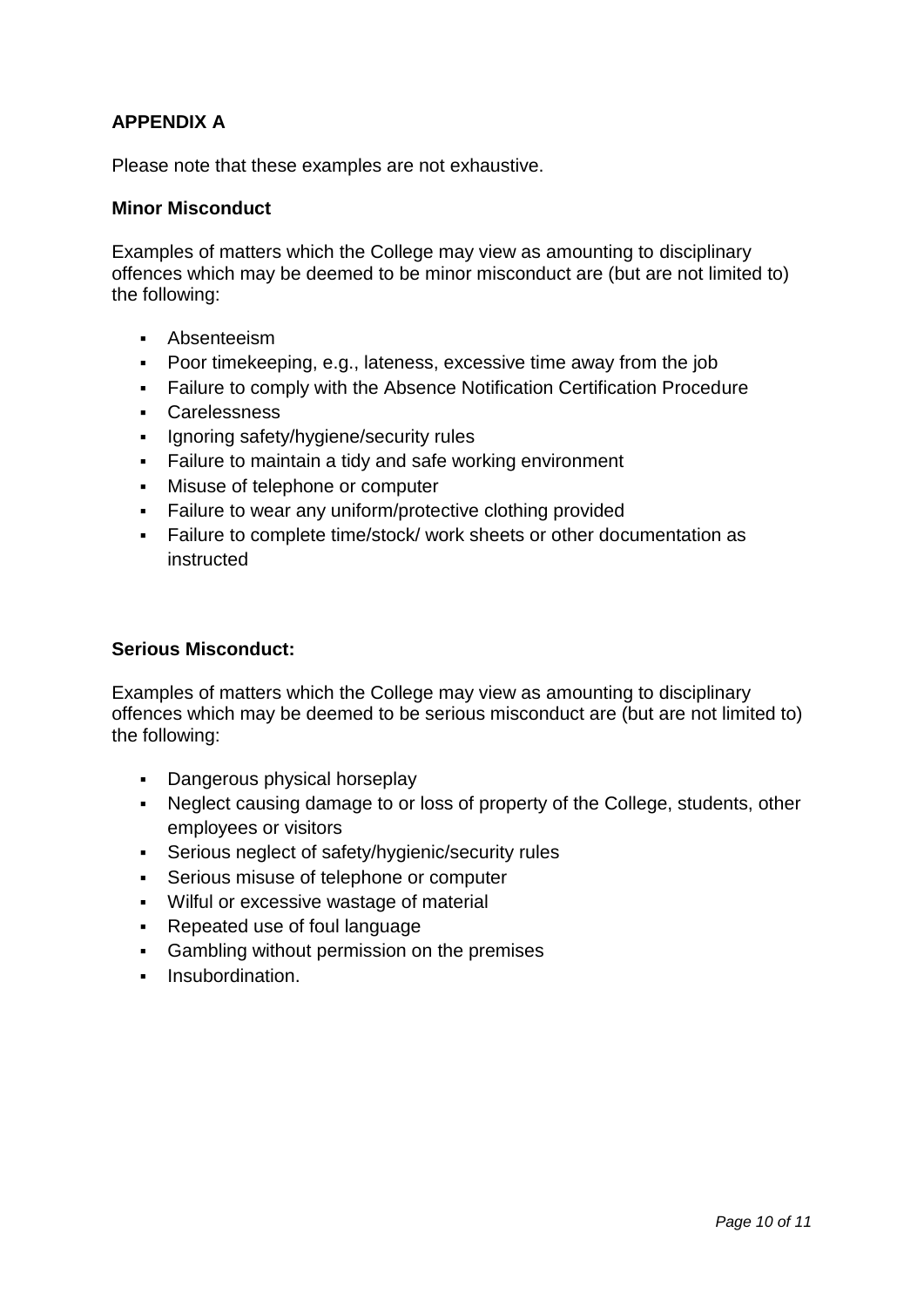# **APPENDIX A**

Please note that these examples are not exhaustive.

### **Minor Misconduct**

Examples of matters which the College may view as amounting to disciplinary offences which may be deemed to be minor misconduct are (but are not limited to) the following:

- Absenteeism
- Poor timekeeping, e.g., lateness, excessive time away from the job
- Failure to comply with the Absence Notification Certification Procedure
- Carelessness
- Ignoring safety/hygiene/security rules
- Failure to maintain a tidy and safe working environment
- Misuse of telephone or computer
- **Failure to wear any uniform/protective clothing provided**
- Failure to complete time/stock/ work sheets or other documentation as instructed

#### **Serious Misconduct:**

Examples of matters which the College may view as amounting to disciplinary offences which may be deemed to be serious misconduct are (but are not limited to) the following:

- **Dangerous physical horseplay**
- Neglect causing damage to or loss of property of the College, students, other employees or visitors
- Serious neglect of safety/hygienic/security rules
- Serious misuse of telephone or computer
- Wilful or excessive wastage of material
- Repeated use of foul language
- Gambling without permission on the premises
- **Insubordination.**